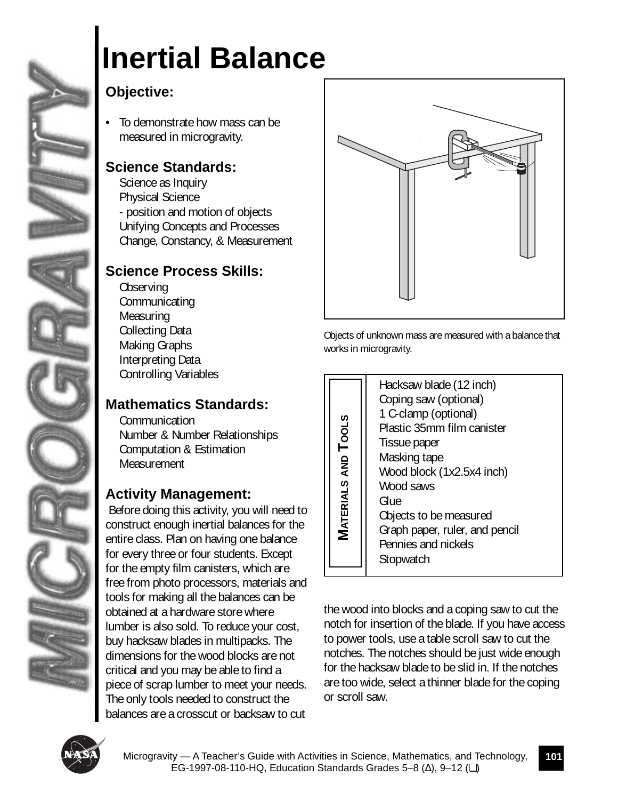

# **Inertial Balance**

## **Objective:**

• To demonstrate how mass can be measured in microgravity.

### **Science Standards:**

Science as Inquiry Physical Science - position and motion of objects Unifying Concepts and Processes Change, Constancy, & Measurement



### **Science Process Skills:**

**Observing Communicating Measuring** Collecting Data Making Graphs Interpreting Data Controlling Variables

### **Mathematics Standards:**

Communication Number & Number Relationships Computation & Estimation **Measurement** 

### **Activity Management:**

 Before doing this activity, you will need to construct enough inertial balances for the entire class. Plan on having one balance for every three or four students. Except for the empty film canisters, which are free from photo processors, materials and tools for making all the balances can be obtained at a hardware store where lumber is also sold. To reduce your cost, buy hacksaw blades in multipacks. The dimensions for the wood blocks are not critical and you may be able to find a piece of scrap lumber to meet your needs. The only tools needed to construct the balances are a crosscut or backsaw to cut



Objects of unknown mass are measured with a balance that works in microgravity.

| $T$ ools<br><b>MATERIALS AND</b> | Hacksaw blade (12 inch)<br>Coping saw (optional)<br>1 C-clamp (optional)<br>Plastic 35mm film canister<br>Tissue paper<br>Masking tape<br>Wood block (1x2.5x4 inch)<br>Wood saws<br>Glue<br>Objects to be measured<br>Graph paper, ruler, and pencil<br>Pennies and nickels<br>Stopwatch |
|----------------------------------|------------------------------------------------------------------------------------------------------------------------------------------------------------------------------------------------------------------------------------------------------------------------------------------|

the wood into blocks and a coping saw to cut the notch for insertion of the blade. If you have access to power tools, use a table scroll saw to cut the notches. The notches should be just wide enough for the hacksaw blade to be slid in. If the notches are too wide, select a thinner blade for the coping or scroll saw.

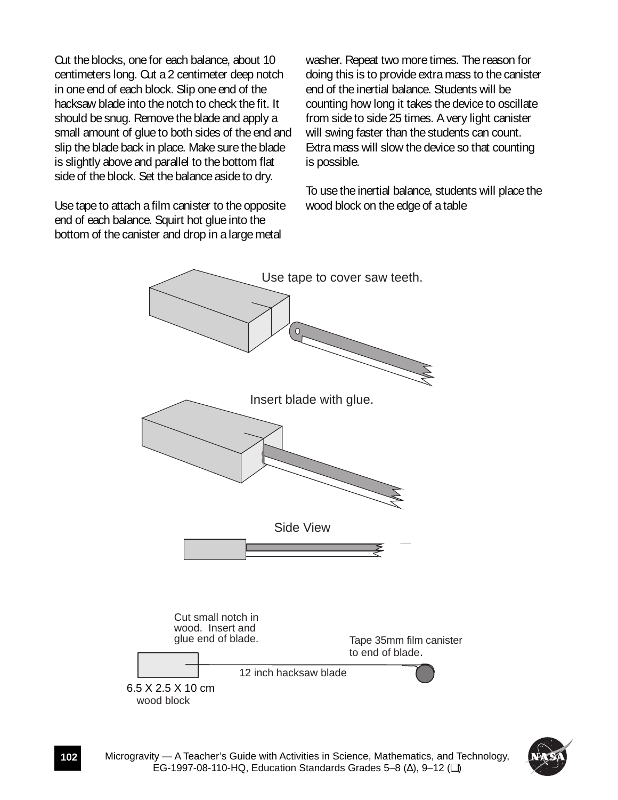Cut the blocks, one for each balance, about 10 centimeters long. Cut a 2 centimeter deep notch in one end of each block. Slip one end of the hacksaw blade into the notch to check the fit. It should be snug. Remove the blade and apply a small amount of glue to both sides of the end and slip the blade back in place. Make sure the blade is slightly above and parallel to the bottom flat side of the block. Set the balance aside to dry.

Use tape to attach a film canister to the opposite end of each balance. Squirt hot glue into the bottom of the canister and drop in a large metal

washer. Repeat two more times. The reason for doing this is to provide extra mass to the canister end of the inertial balance. Students will be counting how long it takes the device to oscillate from side to side 25 times. A very light canister will swing faster than the students can count. Extra mass will slow the device so that counting is possible.

To use the inertial balance, students will place the wood block on the edge of a table



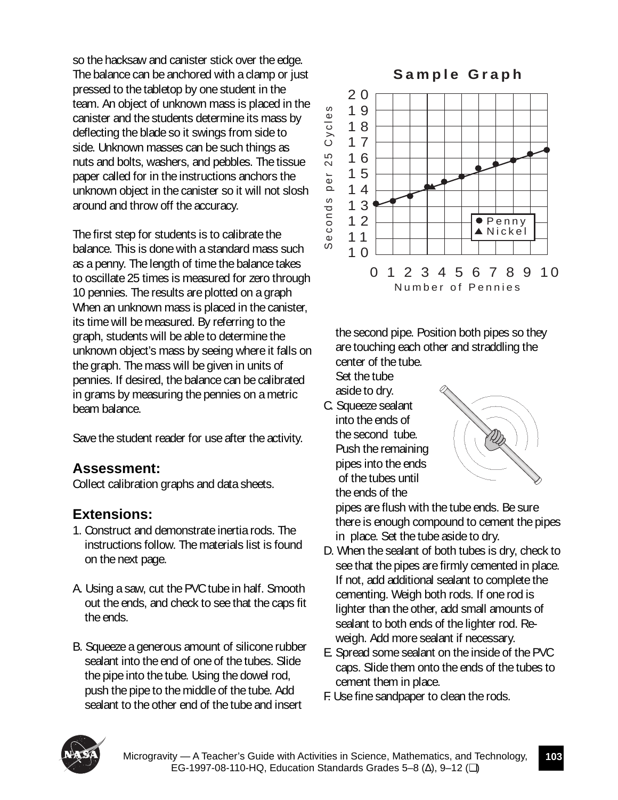so the hacksaw and canister stick over the edge. The balance can be anchored with a clamp or just pressed to the tabletop by one student in the team. An object of unknown mass is placed in the canister and the students determine its mass by deflecting the blade so it swings from side to side. Unknown masses can be such things as nuts and bolts, washers, and pebbles. The tissue paper called for in the instructions anchors the unknown object in the canister so it will not slosh around and throw off the accuracy.

The first step for students is to calibrate the balance. This is done with a standard mass such as a penny. The length of time the balance takes to oscillate 25 times is measured for zero through 10 pennies. The results are plotted on a graph When an unknown mass is placed in the canister, its time will be measured. By referring to the graph, students will be able to determine the unknown object's mass by seeing where it falls on the graph. The mass will be given in units of pennies. If desired, the balance can be calibrated in grams by measuring the pennies on a metric beam balance.

Save the student reader for use after the activity.

### **Assessment:**

Collect calibration graphs and data sheets.

### **Extensions:**

- 1. Construct and demonstrate inertia rods. The instructions follow. The materials list is found on the next page.
- A. Using a saw, cut the PVC tube in half. Smooth out the ends, and check to see that the caps fit the ends.
- B. Squeeze a generous amount of silicone rubber sealant into the end of one of the tubes. Slide the pipe into the tube. Using the dowel rod, push the pipe to the middle of the tube. Add sealant to the other end of the tube and insert



the second pipe. Position both pipes so they are touching each other and straddling the center of the tube.

Set the tube

aside to dry.

C. Squeeze sealant into the ends of the second tube. Push the remaining pipes into the ends of the tubes until the ends of the



pipes are flush with the tube ends. Be sure there is enough compound to cement the pipes in place. Set the tube aside to dry.

- D. When the sealant of both tubes is dry, check to see that the pipes are firmly cemented in place. If not, add additional sealant to complete the cementing. Weigh both rods. If one rod is lighter than the other, add small amounts of sealant to both ends of the lighter rod. Reweigh. Add more sealant if necessary.
- E. Spread some sealant on the inside of the PVC caps. Slide them onto the ends of the tubes to cement them in place.
- F. Use fine sandpaper to clean the rods.

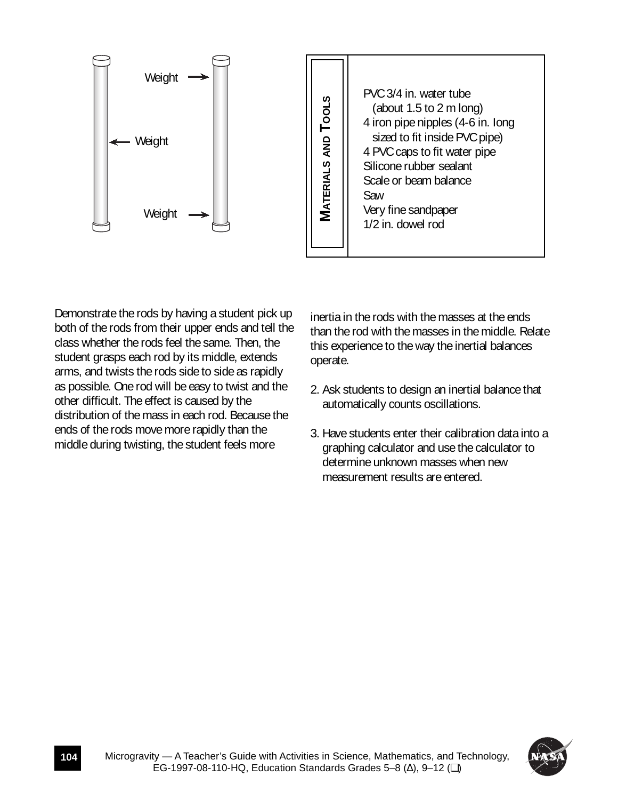

Demonstrate the rods by having a student pick up both of the rods from their upper ends and tell the class whether the rods feel the same. Then, the student grasps each rod by its middle, extends arms, and twists the rods side to side as rapidly as possible. One rod will be easy to twist and the other difficult. The effect is caused by the distribution of the mass in each rod. Because the ends of the rods move more rapidly than the middle during twisting, the student feels more

inertia in the rods with the masses at the ends than the rod with the masses in the middle. Relate this experience to the way the inertial balances operate.

- 2. Ask students to design an inertial balance that automatically counts oscillations.
- 3. Have students enter their calibration data into a graphing calculator and use the calculator to determine unknown masses when new measurement results are entered.

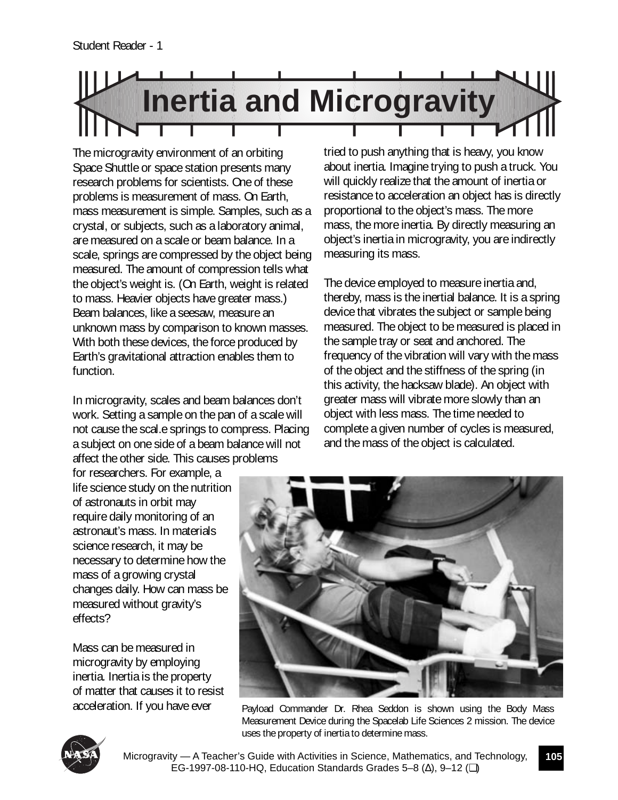

The microgravity environment of an orbiting Space Shuttle or space station presents many research problems for scientists. One of these problems is measurement of mass. On Earth, mass measurement is simple. Samples, such as a crystal, or subjects, such as a laboratory animal, are measured on a scale or beam balance. In a scale, springs are compressed by the object being measured. The amount of compression tells what the object's weight is. (On Earth, weight is related to mass. Heavier objects have greater mass.) Beam balances, like a seesaw, measure an unknown mass by comparison to known masses. With both these devices, the force produced by Earth's gravitational attraction enables them to function.

In microgravity, scales and beam balances don't work. Setting a sample on the pan of a scale will not cause the scal.e springs to compress. Placing a subject on one side of a beam balance will not affect the other side. This causes problems

tried to push anything that is heavy, you know about inertia. Imagine trying to push a truck. You will quickly realize that the amount of inertia or resistance to acceleration an object has is directly proportional to the object's mass. The more mass, the more inertia. By directly measuring an object's inertia in microgravity, you are indirectly measuring its mass.

The device employed to measure inertia and, thereby, mass is the inertial balance. It is a spring device that vibrates the subject or sample being measured. The object to be measured is placed in the sample tray or seat and anchored. The frequency of the vibration will vary with the mass of the object and the stiffness of the spring (in this activity, the hacksaw blade). An object with greater mass will vibrate more slowly than an object with less mass. The time needed to complete a given number of cycles is measured, and the mass of the object is calculated.

for researchers. For example, a life science study on the nutrition of astronauts in orbit may require daily monitoring of an astronaut's mass. In materials science research, it may be necessary to determine how the mass of a growing crystal changes daily. How can mass be measured without gravity's effects?

Mass can be measured in microgravity by employing inertia. Inertia is the property of matter that causes it to resist acceleration. If you have ever



Payload Commander Dr. Rhea Seddon is shown using the Body Mass Measurement Device during the Spacelab Life Sciences 2 mission. The device uses the property of inertia to determine mass.



Microgravity — A Teacher's Guide with Activities in Science, Mathematics, and Technology, EG-1997-08-110-HQ, Education Standards Grades 5–8 (∆), 9–12 (❏)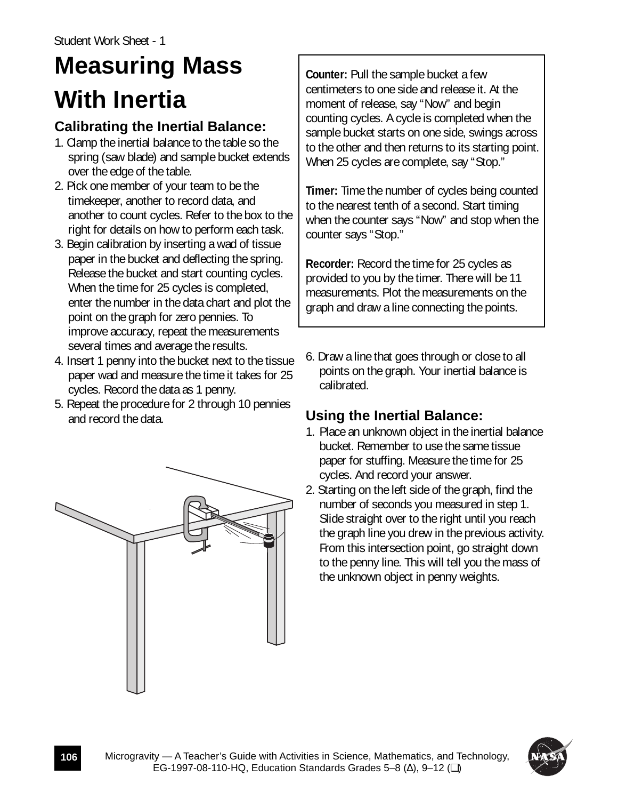# **Measuring Mass With Inertia**

### **Calibrating the Inertial Balance:**

- 1. Clamp the inertial balance to the table so the spring (saw blade) and sample bucket extends over the edge of the table.
- 2. Pick one member of your team to be the timekeeper, another to record data, and another to count cycles. Refer to the box to the right for details on how to perform each task.
- 3. Begin calibration by inserting a wad of tissue paper in the bucket and deflecting the spring. Release the bucket and start counting cycles. When the time for 25 cycles is completed, enter the number in the data chart and plot the point on the graph for zero pennies. To improve accuracy, repeat the measurements several times and average the results.
- 4. Insert 1 penny into the bucket next to the tissue paper wad and measure the time it takes for 25 cycles. Record the data as 1 penny.
- 5. Repeat the procedure for 2 through 10 pennies and record the data.

**Counter:** Pull the sample bucket a few centimeters to one side and release it. At the moment of release, say "Now" and begin counting cycles. A cycle is completed when the sample bucket starts on one side, swings across to the other and then returns to its starting point. When 25 cycles are complete, say "Stop."

**Timer:** Time the number of cycles being counted to the nearest tenth of a second. Start timing when the counter says "Now" and stop when the counter says "Stop."

**Recorder:** Record the time for 25 cycles as provided to you by the timer. There will be 11 measurements. Plot the measurements on the graph and draw a line connecting the points.

6. Draw a line that goes through or close to all points on the graph. Your inertial balance is calibrated.

### **Using the Inertial Balance:**

- 1. Place an unknown object in the inertial balance bucket. Remember to use the same tissue paper for stuffing. Measure the time for 25 cycles. And record your answer.
- 2. Starting on the left side of the graph, find the number of seconds you measured in step 1. Slide straight over to the right until you reach the graph line you drew in the previous activity. From this intersection point, go straight down to the penny line. This will tell you the mass of the unknown object in penny weights.



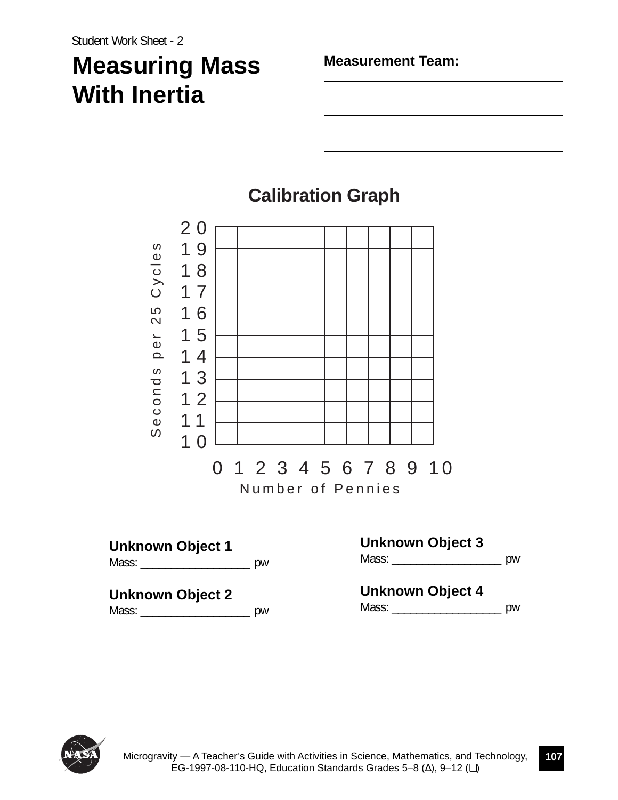# **Measuring Mass With Inertia**

**Measurement Team:**



# **Calibration Graph**

Mass: \_\_\_\_\_\_\_\_\_\_\_\_\_\_\_\_\_\_\_\_\_\_\_\_\_\_\_\_\_\_ pw